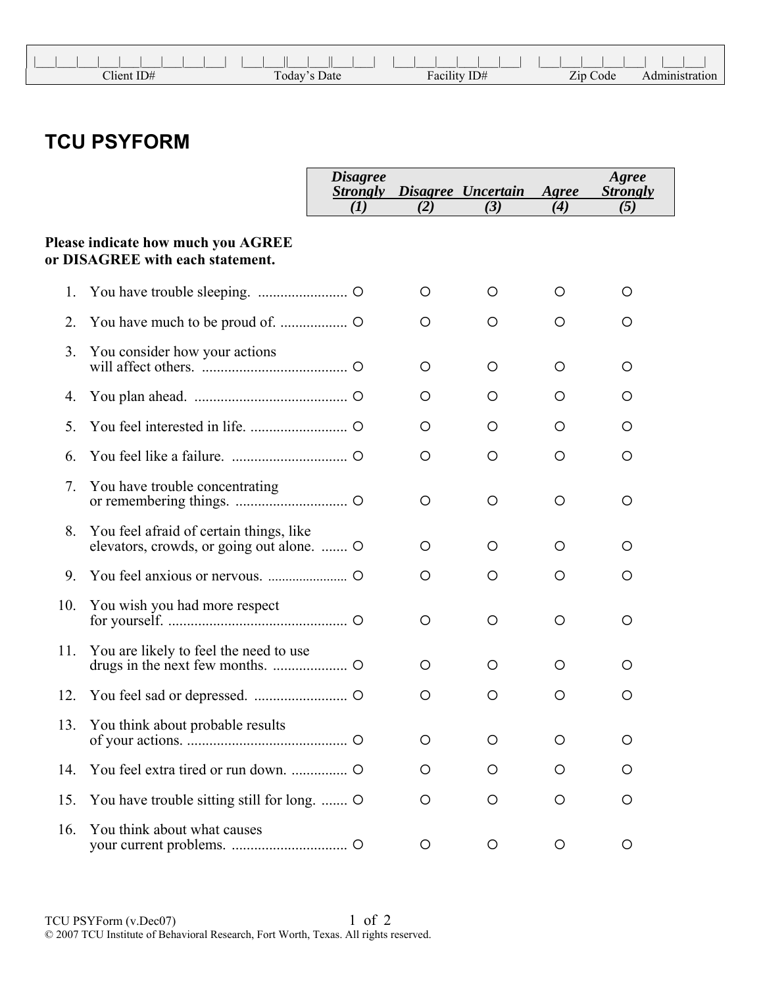|              |              | .            |          |  |
|--------------|--------------|--------------|----------|--|
| $Client$ ID# | Today's Date | Facility ID# | Zip Code |  |

## **TCU PSYFORM**

|     |                                                                                   | <i>Disagree</i><br><b>Strongly</b> |     | Disagree Uncertain | Agree | Agree<br><b>Strongly</b> |
|-----|-----------------------------------------------------------------------------------|------------------------------------|-----|--------------------|-------|--------------------------|
|     |                                                                                   | (I)                                | (2) | (3)                | (4)   | (5)                      |
|     | Please indicate how much you AGREE<br>or DISAGREE with each statement.            |                                    |     |                    |       |                          |
| 1.  |                                                                                   |                                    | O   | O                  | O     | O                        |
| 2.  |                                                                                   |                                    | O   | O                  | O     | O                        |
| 3.  | You consider how your actions                                                     |                                    | O   | O                  | O     | O                        |
| 4.  |                                                                                   |                                    | O   | O                  | O     | O                        |
| 5.  |                                                                                   |                                    | O   | O                  | O     | O                        |
| 6.  |                                                                                   |                                    | O   | O                  | O     | O                        |
| 7.  | You have trouble concentrating                                                    |                                    | O   | O                  | O     | O                        |
| 8.  | You feel afraid of certain things, like<br>elevators, crowds, or going out alone. |                                    | O   | O                  | O     | O                        |
| 9.  |                                                                                   |                                    | O   | O                  | O     | O                        |
| 10. | You wish you had more respect                                                     |                                    | O   | O                  | O     | O                        |
| 11. | You are likely to feel the need to use                                            |                                    | O   | O                  | O     | O                        |
| 12. |                                                                                   |                                    | O   | O                  | O     | O                        |
|     | 13. You think about probable results                                              |                                    | O   | O                  | O     | O                        |
| 14. |                                                                                   |                                    | O   | O                  | O     | O                        |
| 15. | You have trouble sitting still for long.                                          |                                    | O   | $\circ$            | O     | O                        |
| 16. | You think about what causes                                                       |                                    | O   | O                  | O     | O                        |